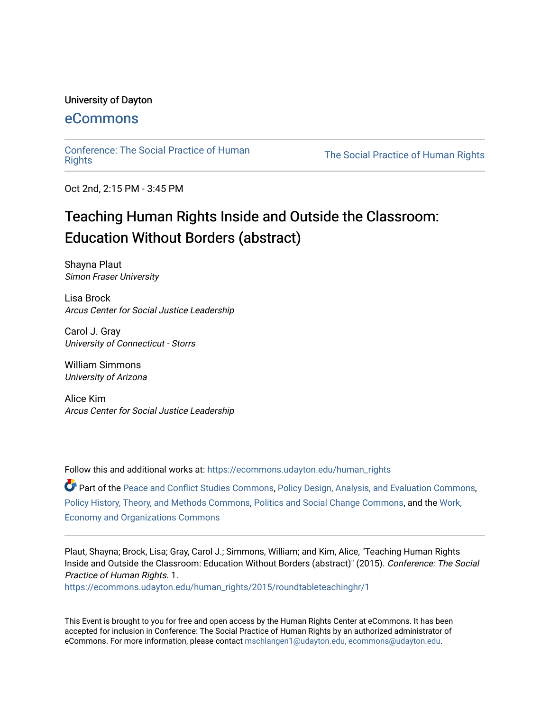#### University of Dayton

# [eCommons](https://ecommons.udayton.edu/)

[Conference: The Social Practice of Human](https://ecommons.udayton.edu/human_rights)

The Social Practice of Human Rights

Oct 2nd, 2:15 PM - 3:45 PM

# Teaching Human Rights Inside and Outside the Classroom: Education Without Borders (abstract)

Shayna Plaut Simon Fraser University

Lisa Brock Arcus Center for Social Justice Leadership

Carol J. Gray University of Connecticut - Storrs

William Simmons University of Arizona

Alice Kim Arcus Center for Social Justice Leadership

Follow this and additional works at: [https://ecommons.udayton.edu/human\\_rights](https://ecommons.udayton.edu/human_rights?utm_source=ecommons.udayton.edu%2Fhuman_rights%2F2015%2Froundtableteachinghr%2F1&utm_medium=PDF&utm_campaign=PDFCoverPages)

Part of the [Peace and Conflict Studies Commons,](http://network.bepress.com/hgg/discipline/397?utm_source=ecommons.udayton.edu%2Fhuman_rights%2F2015%2Froundtableteachinghr%2F1&utm_medium=PDF&utm_campaign=PDFCoverPages) [Policy Design, Analysis, and Evaluation Commons](http://network.bepress.com/hgg/discipline/1032?utm_source=ecommons.udayton.edu%2Fhuman_rights%2F2015%2Froundtableteachinghr%2F1&utm_medium=PDF&utm_campaign=PDFCoverPages), [Policy History, Theory, and Methods Commons,](http://network.bepress.com/hgg/discipline/1036?utm_source=ecommons.udayton.edu%2Fhuman_rights%2F2015%2Froundtableteachinghr%2F1&utm_medium=PDF&utm_campaign=PDFCoverPages) [Politics and Social Change Commons](http://network.bepress.com/hgg/discipline/425?utm_source=ecommons.udayton.edu%2Fhuman_rights%2F2015%2Froundtableteachinghr%2F1&utm_medium=PDF&utm_campaign=PDFCoverPages), and the [Work,](http://network.bepress.com/hgg/discipline/433?utm_source=ecommons.udayton.edu%2Fhuman_rights%2F2015%2Froundtableteachinghr%2F1&utm_medium=PDF&utm_campaign=PDFCoverPages) [Economy and Organizations Commons](http://network.bepress.com/hgg/discipline/433?utm_source=ecommons.udayton.edu%2Fhuman_rights%2F2015%2Froundtableteachinghr%2F1&utm_medium=PDF&utm_campaign=PDFCoverPages) 

Plaut, Shayna; Brock, Lisa; Gray, Carol J.; Simmons, William; and Kim, Alice, "Teaching Human Rights Inside and Outside the Classroom: Education Without Borders (abstract)" (2015). Conference: The Social Practice of Human Rights. 1.

[https://ecommons.udayton.edu/human\\_rights/2015/roundtableteachinghr/1](https://ecommons.udayton.edu/human_rights/2015/roundtableteachinghr/1?utm_source=ecommons.udayton.edu%2Fhuman_rights%2F2015%2Froundtableteachinghr%2F1&utm_medium=PDF&utm_campaign=PDFCoverPages) 

This Event is brought to you for free and open access by the Human Rights Center at eCommons. It has been accepted for inclusion in Conference: The Social Practice of Human Rights by an authorized administrator of eCommons. For more information, please contact [mschlangen1@udayton.edu, ecommons@udayton.edu.](mailto:mschlangen1@udayton.edu,%20ecommons@udayton.edu)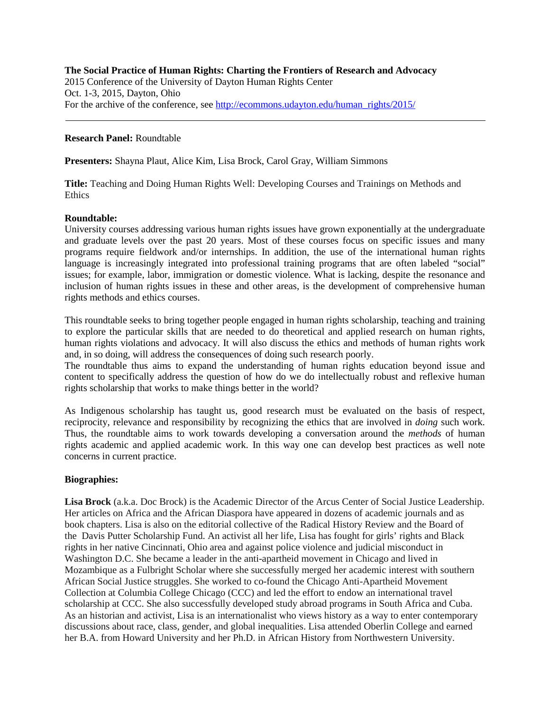#### **The Social Practice of Human Rights: Charting the Frontiers of Research and Advocacy** 2015 Conference of the University of Dayton Human Rights Center Oct. 1-3, 2015, Dayton, Ohio For the archive of the conference, see [http://ecommons.udayton.edu/human\\_rights/2015/](http://ecommons.udayton.edu/human_rights/2015/)

## **Research Panel:** Roundtable

**Presenters:** Shayna Plaut, Alice Kim, Lisa Brock, Carol Gray, William Simmons

**Title:** Teaching and Doing Human Rights Well: Developing Courses and Trainings on Methods and **Ethics** 

#### **Roundtable:**

University courses addressing various human rights issues have grown exponentially at the undergraduate and graduate levels over the past 20 years. Most of these courses focus on specific issues and many programs require fieldwork and/or internships. In addition, the use of the international human rights language is increasingly integrated into professional training programs that are often labeled "social" issues; for example, labor, immigration or domestic violence. What is lacking, despite the resonance and inclusion of human rights issues in these and other areas, is the development of comprehensive human rights methods and ethics courses.

This roundtable seeks to bring together people engaged in human rights scholarship, teaching and training to explore the particular skills that are needed to do theoretical and applied research on human rights, human rights violations and advocacy. It will also discuss the ethics and methods of human rights work and, in so doing, will address the consequences of doing such research poorly.

The roundtable thus aims to expand the understanding of human rights education beyond issue and content to specifically address the question of how do we do intellectually robust and reflexive human rights scholarship that works to make things better in the world?

As Indigenous scholarship has taught us, good research must be evaluated on the basis of respect, reciprocity, relevance and responsibility by recognizing the ethics that are involved in *doing* such work. Thus, the roundtable aims to work towards developing a conversation around the *methods* of human rights academic and applied academic work. In this way one can develop best practices as well note concerns in current practice.

### **Biographies:**

**Lisa Brock** (a.k.a. Doc Brock) is the Academic Director of the Arcus Center of Social Justice Leadership. Her articles on Africa and the African Diaspora have appeared in dozens of academic journals and as book chapters. Lisa is also on the editorial collective of the Radical History Review and the Board of the Davis Putter Scholarship Fund. An activist all her life, Lisa has fought for girls' rights and Black rights in her native Cincinnati, Ohio area and against police violence and judicial misconduct in Washington D.C. She became a leader in the anti-apartheid movement in Chicago and lived in Mozambique as a Fulbright Scholar where she successfully merged her academic interest with southern African Social Justice struggles. She worked to co-found the Chicago Anti-Apartheid Movement Collection at Columbia College Chicago (CCC) and led the effort to endow an international travel scholarship at CCC. She also successfully developed study abroad programs in South Africa and Cuba. As an historian and activist, Lisa is an internationalist who views history as a way to enter contemporary discussions about race, class, gender, and global inequalities. Lisa attended Oberlin College and earned her B.A. from Howard University and her Ph.D. in African History from Northwestern University.